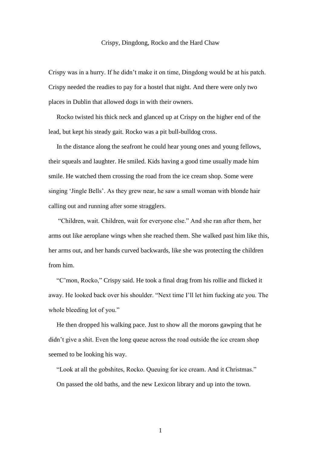## Crispy, Dingdong, Rocko and the Hard Chaw

Crispy was in a hurry. If he didn't make it on time, Dingdong would be at his patch. Crispy needed the readies to pay for a hostel that night. And there were only two places in Dublin that allowed dogs in with their owners.

 Rocko twisted his thick neck and glanced up at Crispy on the higher end of the lead, but kept his steady gait. Rocko was a pit bull-bulldog cross.

 In the distance along the seafront he could hear young ones and young fellows, their squeals and laughter. He smiled. Kids having a good time usually made him smile. He watched them crossing the road from the ice cream shop. Some were singing 'Jingle Bells'. As they grew near, he saw a small woman with blonde hair calling out and running after some stragglers.

 "Children, wait. Children, wait for everyone else." And she ran after them, her arms out like aeroplane wings when she reached them. She walked past him like this, her arms out, and her hands curved backwards, like she was protecting the children from him.

 "C'mon, Rocko," Crispy said. He took a final drag from his rollie and flicked it away. He looked back over his shoulder. "Next time I'll let him fucking ate you. The whole bleeding lot of you."

 He then dropped his walking pace. Just to show all the morons gawping that he didn't give a shit. Even the long queue across the road outside the ice cream shop seemed to be looking his way.

 "Look at all the gobshites, Rocko. Queuing for ice cream. And it Christmas." On passed the old baths, and the new Lexicon library and up into the town.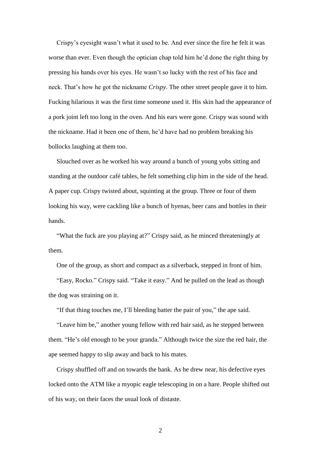Crispy's eyesight wasn't what it used to be. And ever since the fire he felt it was worse than ever. Even though the optician chap told him he'd done the right thing by pressing his hands over his eyes. He wasn't so lucky with the rest of his face and neck. That's how he got the nickname *Crispy*. The other street people gave it to him. Fucking hilarious it was the first time someone used it. His skin had the appearance of a pork joint left too long in the oven. And his ears were gone. Crispy was sound with the nickname. Had it been one of them, he'd have had no problem breaking his bollocks laughing at them too.

 Slouched over as he worked his way around a bunch of young yobs sitting and standing at the outdoor café tables, he felt something clip him in the side of the head. A paper cup. Crispy twisted about, squinting at the group. Three or four of them looking his way, were cackling like a bunch of hyenas, beer cans and bottles in their hands.

 "What the fuck are you playing at?" Crispy said, as he minced threateningly at them.

One of the group, as short and compact as a silverback, stepped in front of him.

 "Easy, Rocko." Crispy said. "Take it easy." And he pulled on the lead as though the dog was straining on it.

"If that thing touches me, I'll bleeding batter the pair of you," the ape said.

 "Leave him be," another young fellow with red hair said, as he stepped between them. "He's old enough to be your granda." Although twice the size the red hair, the ape seemed happy to slip away and back to his mates.

 Crispy shuffled off and on towards the bank. As he drew near, his defective eyes locked onto the ATM like a myopic eagle telescoping in on a hare. People shifted out of his way, on their faces the usual look of distaste.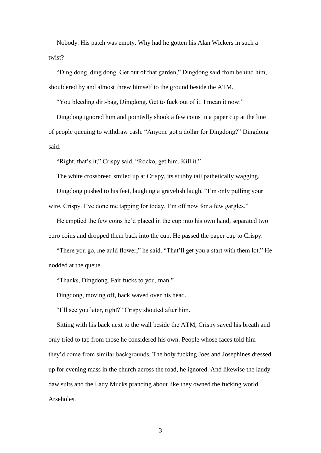Nobody. His patch was empty. Why had he gotten his Alan Wickers in such a twist?

 "Ding dong, ding dong. Get out of that garden," Dingdong said from behind him, shouldered by and almost threw himself to the ground beside the ATM.

"You bleeding dirt-bag, Dingdong. Get to fuck out of it. I mean it now."

 Dingdong ignored him and pointedly shook a few coins in a paper cup at the line of people queuing to withdraw cash. "Anyone got a dollar for Dingdong?" Dingdong said.

"Right, that's it," Crispy said. "Rocko, get him. Kill it."

The white crossbreed smiled up at Crispy, its stubby tail pathetically wagging.

 Dingdong pushed to his feet, laughing a gravelish laugh. "I'm only pulling your wire, Crispy. I've done me tapping for today. I'm off now for a few gargles."

 He emptied the few coins he'd placed in the cup into his own hand, separated two euro coins and dropped them back into the cup. He passed the paper cup to Crispy.

 "There you go, me auld flower," he said. "That'll get you a start with them lot." He nodded at the queue.

"Thanks, Dingdong. Fair fucks to you, man."

Dingdong, moving off, back waved over his head.

"I'll see you later, right?" Crispy shouted after him.

 Sitting with his back next to the wall beside the ATM, Crispy saved his breath and only tried to tap from those he considered his own. People whose faces told him they'd come from similar backgrounds. The holy fucking Joes and Josephines dressed up for evening mass in the church across the road, he ignored. And likewise the laudy daw suits and the Lady Mucks prancing about like they owned the fucking world. Arseholes.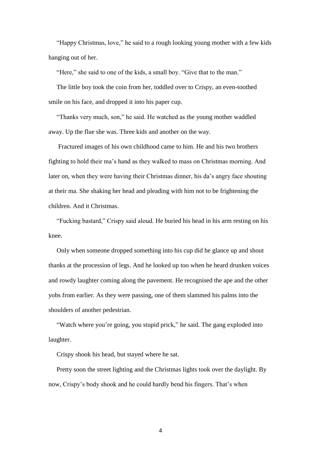"Happy Christmas, love," he said to a rough looking young mother with a few kids hanging out of her.

"Here," she said to one of the kids, a small boy. "Give that to the man."

 The little boy took the coin from her, toddled over to Crispy, an even-toothed smile on his face, and dropped it into his paper cup.

 "Thanks very much, son," he said. He watched as the young mother waddled away. Up the flue she was. Three kids and another on the way.

 Fractured images of his own childhood came to him. He and his two brothers fighting to hold their ma's hand as they walked to mass on Christmas morning. And later on, when they were having their Christmas dinner, his da's angry face shouting at their ma. She shaking her head and pleading with him not to be frightening the children. And it Christmas.

 "Fucking bastard," Crispy said aloud. He buried his head in his arm resting on his knee.

 Only when someone dropped something into his cup did he glance up and shout thanks at the procession of legs. And he looked up too when he heard drunken voices and rowdy laughter coming along the pavement. He recognised the ape and the other yobs from earlier. As they were passing, one of them slammed his palms into the shoulders of another pedestrian.

"Watch where you're going, you stupid prick," he said. The gang exploded into laughter.

Crispy shook his head, but stayed where he sat.

 Pretty soon the street lighting and the Christmas lights took over the daylight. By now, Crispy's body shook and he could hardly bend his fingers. That's when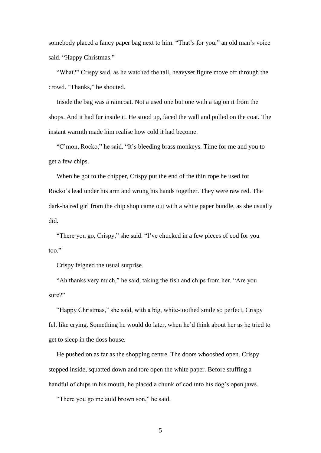somebody placed a fancy paper bag next to him. "That's for you," an old man's voice said. "Happy Christmas."

 "What?" Crispy said, as he watched the tall, heavyset figure move off through the crowd. "Thanks," he shouted.

 Inside the bag was a raincoat. Not a used one but one with a tag on it from the shops. And it had fur inside it. He stood up, faced the wall and pulled on the coat. The instant warmth made him realise how cold it had become.

 "C'mon, Rocko," he said. "It's bleeding brass monkeys. Time for me and you to get a few chips.

 When he got to the chipper, Crispy put the end of the thin rope he used for Rocko's lead under his arm and wrung his hands together. They were raw red. The dark-haired girl from the chip shop came out with a white paper bundle, as she usually did.

 "There you go, Crispy," she said. "I've chucked in a few pieces of cod for you too."

Crispy feigned the usual surprise.

 "Ah thanks very much," he said, taking the fish and chips from her. "Are you sure?"

 "Happy Christmas," she said, with a big, white-toothed smile so perfect, Crispy felt like crying. Something he would do later, when he'd think about her as he tried to get to sleep in the doss house.

 He pushed on as far as the shopping centre. The doors whooshed open. Crispy stepped inside, squatted down and tore open the white paper. Before stuffing a handful of chips in his mouth, he placed a chunk of cod into his dog's open jaws.

"There you go me auld brown son," he said.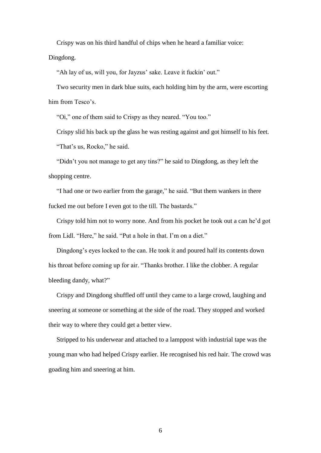Crispy was on his third handful of chips when he heard a familiar voice:

Dingdong.

"Ah lay of us, will you, for Jayzus' sake. Leave it fuckin' out."

 Two security men in dark blue suits, each holding him by the arm, were escorting him from Tesco's.

"Oi," one of them said to Crispy as they neared. "You too."

 Crispy slid his back up the glass he was resting against and got himself to his feet. "That's us, Rocko," he said.

 "Didn't you not manage to get any tins?" he said to Dingdong, as they left the shopping centre.

 "I had one or two earlier from the garage," he said. "But them wankers in there fucked me out before I even got to the till. The bastards."

 Crispy told him not to worry none. And from his pocket he took out a can he'd got from Lidl. "Here," he said. "Put a hole in that. I'm on a diet."

 Dingdong's eyes locked to the can. He took it and poured half its contents down his throat before coming up for air. "Thanks brother. I like the clobber. A regular bleeding dandy, what?"

 Crispy and Dingdong shuffled off until they came to a large crowd, laughing and sneering at someone or something at the side of the road. They stopped and worked their way to where they could get a better view.

 Stripped to his underwear and attached to a lamppost with industrial tape was the young man who had helped Crispy earlier. He recognised his red hair. The crowd was goading him and sneering at him.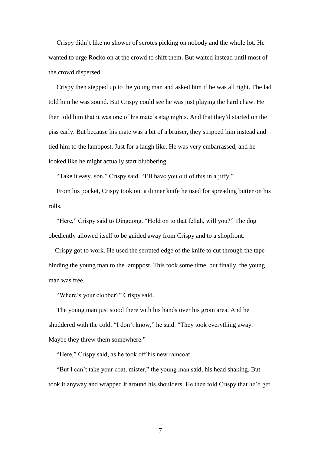Crispy didn't like no shower of scrotes picking on nobody and the whole lot. He wanted to urge Rocko on at the crowd to shift them. But waited instead until most of the crowd dispersed.

 Crispy then stepped up to the young man and asked him if he was all right. The lad told him he was sound. But Crispy could see he was just playing the hard chaw. He then told him that it was one of his mate's stag nights. And that they'd started on the piss early. But because his mate was a bit of a bruiser, they stripped him instead and tied him to the lamppost. Just for a laugh like. He was very embarrassed, and he looked like he might actually start blubbering.

"Take it easy, son," Crispy said. "I'll have you out of this in a jiffy."

 From his pocket, Crispy took out a dinner knife he used for spreading butter on his rolls.

 "Here," Crispy said to Dingdong. "Hold on to that fellah, will you?" The dog obediently allowed itself to be guided away from Crispy and to a shopfront.

 Crispy got to work. He used the serrated edge of the knife to cut through the tape binding the young man to the lamppost. This took some time, but finally, the young man was free.

"Where's your clobber?" Crispy said.

 The young man just stood there with his hands over his groin area. And he shuddered with the cold. "I don't know," he said. "They took everything away. Maybe they threw them somewhere."

"Here," Crispy said, as he took off his new raincoat.

 "But I can't take your coat, mister," the young man said, his head shaking. But took it anyway and wrapped it around his shoulders. He then told Crispy that he'd get